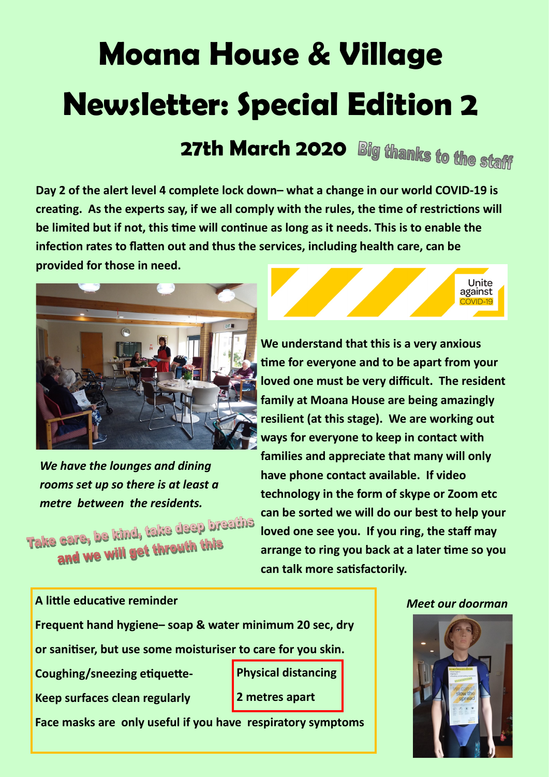## **Moana House & Village Newsletter: Special Edition 2**

**27th March 2020 Big thanks to the staff** 

**Day 2 of the alert level 4 complete lock down– what a change in our world COVID-19 is creating. As the experts say, if we all comply with the rules, the time of restrictions will be limited but if not, this time will continue as long as it needs. This is to enable the infection rates to flatten out and thus the services, including health care, can be provided for those in need.**



*We have the lounges and dining rooms set up so there is at least a* 

*metre between the residents.*<br>Take care, be kind, take deep breaths and we will get throuth this

Unite against

**We understand that this is a very anxious time for everyone and to be apart from your loved one must be very difficult. The resident family at Moana House are being amazingly resilient (at this stage). We are working out ways for everyone to keep in contact with families and appreciate that many will only have phone contact available. If video technology in the form of skype or Zoom etc can be sorted we will do our best to help your loved one see you. If you ring, the staff may arrange to ring you back at a later time so you can talk more satisfactorily.**



**A little educative reminder** *Meet our doorman*

**Frequent hand hygiene– soap & water minimum 20 sec, dry**

**or sanitiser, but use some moisturiser to care for you skin.**

**Coughing/sneezing etiquette-**

**Keep surfaces clean regularly**

**Physical distancing 2 metres apart**

**Face masks are only useful if you have respiratory symptoms**